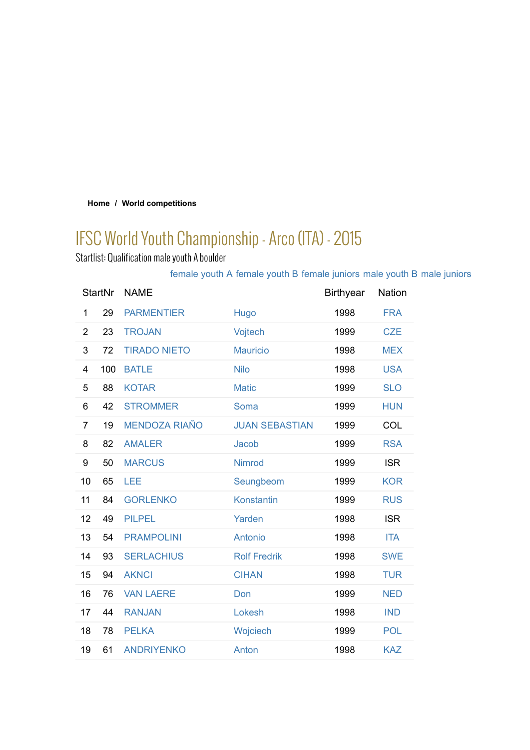#### **Home / World competitions**

# IFSC World Youth Championship - Arco (ITA) - 2015

Startlist: Qualification male youth A boulder

## female youth A female youth B female juniors male youth B male juniors

| <b>StartNr</b> |     | <b>NAME</b>          |                       | <b>Birthyear</b> | <b>Nation</b> |
|----------------|-----|----------------------|-----------------------|------------------|---------------|
| 1              | 29  | <b>PARMENTIER</b>    | Hugo                  | 1998             | <b>FRA</b>    |
| $\overline{2}$ | 23  | <b>TROJAN</b>        | Vojtech               | 1999             | <b>CZE</b>    |
| 3              | 72  | <b>TIRADO NIETO</b>  | <b>Mauricio</b>       | 1998             | <b>MEX</b>    |
| 4              | 100 | <b>BATLE</b>         | <b>Nilo</b>           | 1998             | <b>USA</b>    |
| 5              | 88  | <b>KOTAR</b>         | <b>Matic</b>          | 1999             | <b>SLO</b>    |
| 6              | 42  | <b>STROMMER</b>      | Soma                  | 1999             | <b>HUN</b>    |
| 7              | 19  | <b>MENDOZA RIAÑO</b> | <b>JUAN SEBASTIAN</b> | 1999             | <b>COL</b>    |
| 8              | 82  | <b>AMALER</b>        | Jacob                 | 1999             | <b>RSA</b>    |
| 9              | 50  | <b>MARCUS</b>        | <b>Nimrod</b>         | 1999             | <b>ISR</b>    |
| 10             | 65  | LEE                  | Seungbeom             | 1999             | <b>KOR</b>    |
| 11             | 84  | <b>GORLENKO</b>      | Konstantin            | 1999             | <b>RUS</b>    |
| 12             | 49  | <b>PILPEL</b>        | Yarden                | 1998             | <b>ISR</b>    |
| 13             | 54  | <b>PRAMPOLINI</b>    | Antonio               | 1998             | <b>ITA</b>    |
| 14             | 93  | <b>SERLACHIUS</b>    | <b>Rolf Fredrik</b>   | 1998             | <b>SWE</b>    |
| 15             | 94  | <b>AKNCI</b>         | <b>CIHAN</b>          | 1998             | <b>TUR</b>    |
| 16             | 76  | <b>VAN LAERE</b>     | Don                   | 1999             | <b>NED</b>    |
| 17             | 44  | <b>RANJAN</b>        | Lokesh                | 1998             | <b>IND</b>    |
| 18             | 78  | <b>PELKA</b>         | Wojciech              | 1999             | <b>POL</b>    |
| 19             | 61  | <b>ANDRIYENKO</b>    | Anton                 | 1998             | <b>KAZ</b>    |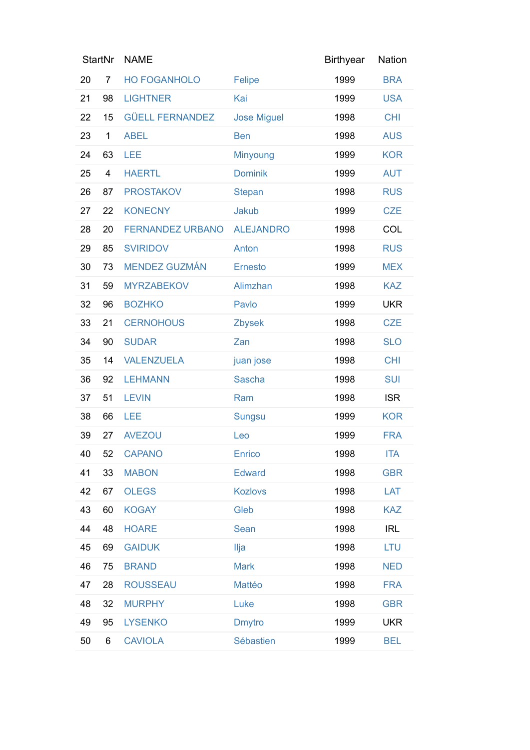| <b>StartNr</b> |                         | <b>NAME</b>             |                    | <b>Birthyear</b> | <b>Nation</b> |
|----------------|-------------------------|-------------------------|--------------------|------------------|---------------|
| 20             | 7                       | <b>HO FOGANHOLO</b>     | Felipe             | 1999             | <b>BRA</b>    |
| 21             | 98                      | <b>LIGHTNER</b>         | Kai                | 1999             | <b>USA</b>    |
| 22             | 15                      | <b>GÜELL FERNANDEZ</b>  | <b>Jose Miguel</b> | 1998             | <b>CHI</b>    |
| 23             | 1                       | <b>ABEL</b>             | <b>Ben</b>         | 1998             | <b>AUS</b>    |
| 24             | 63                      | LEE                     | Minyoung           | 1999             | <b>KOR</b>    |
| 25             | $\overline{\mathbf{4}}$ | <b>HAERTL</b>           | <b>Dominik</b>     | 1999             | <b>AUT</b>    |
| 26             | 87                      | <b>PROSTAKOV</b>        | <b>Stepan</b>      | 1998             | <b>RUS</b>    |
| 27             | 22                      | <b>KONECNY</b>          | Jakub              | 1999             | <b>CZE</b>    |
| 28             | 20                      | <b>FERNANDEZ URBANO</b> | <b>ALEJANDRO</b>   | 1998             | COL           |
| 29             | 85                      | <b>SVIRIDOV</b>         | Anton              | 1998             | <b>RUS</b>    |
| 30             | 73                      | <b>MENDEZ GUZMÁN</b>    | <b>Ernesto</b>     | 1999             | <b>MEX</b>    |
| 31             | 59                      | <b>MYRZABEKOV</b>       | Alimzhan           | 1998             | <b>KAZ</b>    |
| 32             | 96                      | <b>BOZHKO</b>           | Pavlo              | 1999             | <b>UKR</b>    |
| 33             | 21                      | <b>CERNOHOUS</b>        | Zbysek             | 1998             | <b>CZE</b>    |
| 34             | 90                      | <b>SUDAR</b>            | Zan                | 1998             | <b>SLO</b>    |
| 35             | 14                      | <b>VALENZUELA</b>       | juan jose          | 1998             | <b>CHI</b>    |
| 36             | 92                      | <b>LEHMANN</b>          | Sascha             | 1998             | <b>SUI</b>    |
| 37             | 51                      | <b>LEVIN</b>            | Ram                | 1998             | <b>ISR</b>    |
| 38             | 66                      | LEE                     | <b>Sungsu</b>      | 1999             | <b>KOR</b>    |
| 39             | 27                      | <b>AVEZOU</b>           | Leo                | 1999             | <b>FRA</b>    |
| 40             | 52                      | <b>CAPANO</b>           | Enrico             | 1998             | <b>ITA</b>    |
| 41             | 33                      | <b>MABON</b>            | <b>Edward</b>      | 1998             | <b>GBR</b>    |
| 42             | 67                      | <b>OLEGS</b>            | <b>Kozlovs</b>     | 1998             | LAT           |
| 43             | 60                      | <b>KOGAY</b>            | Gleb               | 1998             | <b>KAZ</b>    |
| 44             | 48                      | <b>HOARE</b>            | Sean               | 1998             | <b>IRL</b>    |
| 45             | 69                      | <b>GAIDUK</b>           | Ilja               | 1998             | <b>LTU</b>    |
| 46             | 75                      | <b>BRAND</b>            | <b>Mark</b>        | 1998             | <b>NED</b>    |
| 47             | 28                      | <b>ROUSSEAU</b>         | Mattéo             | 1998             | <b>FRA</b>    |
| 48             | 32                      | <b>MURPHY</b>           | Luke               | 1998             | <b>GBR</b>    |
| 49             | 95                      | <b>LYSENKO</b>          | <b>Dmytro</b>      | 1999             | <b>UKR</b>    |
| 50             | 6                       | <b>CAVIOLA</b>          | Sébastien          | 1999             | <b>BEL</b>    |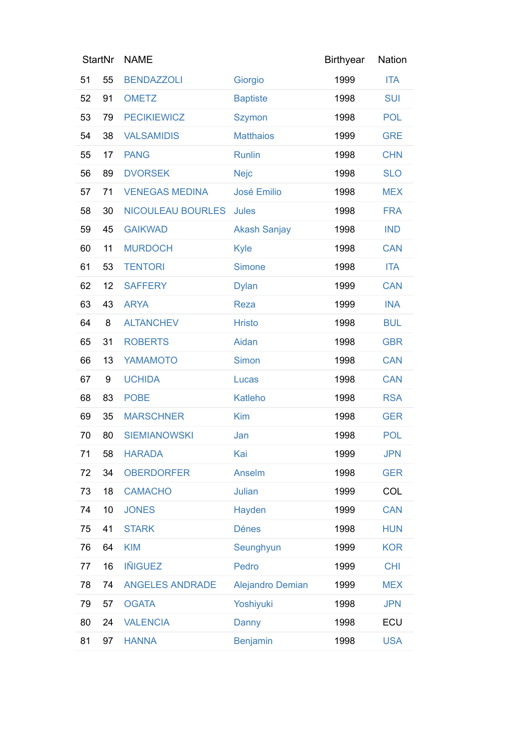| <b>StartNr</b> |    | <b>NAME</b>              |                         | <b>Birthyear</b> | Nation     |
|----------------|----|--------------------------|-------------------------|------------------|------------|
| 51             | 55 | <b>BENDAZZOLI</b>        | Giorgio                 | 1999             | <b>ITA</b> |
| 52             | 91 | <b>OMETZ</b>             | <b>Baptiste</b>         | 1998             | <b>SUI</b> |
| 53             | 79 | <b>PECIKIEWICZ</b>       | <b>Szymon</b>           | 1998             | <b>POL</b> |
| 54             | 38 | <b>VALSAMIDIS</b>        | <b>Matthaios</b>        | 1999             | <b>GRE</b> |
| 55             | 17 | <b>PANG</b>              | <b>Runlin</b>           | 1998             | <b>CHN</b> |
| 56             | 89 | <b>DVORSEK</b>           | <b>Nejc</b>             | 1998             | <b>SLO</b> |
| 57             | 71 | <b>VENEGAS MEDINA</b>    | <b>José Emilio</b>      | 1998             | <b>MEX</b> |
| 58             | 30 | <b>NICOULEAU BOURLES</b> | <b>Jules</b>            | 1998             | <b>FRA</b> |
| 59             | 45 | <b>GAIKWAD</b>           | <b>Akash Sanjay</b>     | 1998             | <b>IND</b> |
| 60             | 11 | <b>MURDOCH</b>           | <b>Kyle</b>             | 1998             | <b>CAN</b> |
| 61             | 53 | <b>TENTORI</b>           | <b>Simone</b>           | 1998             | <b>ITA</b> |
| 62             | 12 | <b>SAFFERY</b>           | <b>Dylan</b>            | 1999             | CAN        |
| 63             | 43 | <b>ARYA</b>              | <b>Reza</b>             | 1999             | <b>INA</b> |
| 64             | 8  | <b>ALTANCHEV</b>         | <b>Hristo</b>           | 1998             | <b>BUL</b> |
| 65             | 31 | <b>ROBERTS</b>           | Aidan                   | 1998             | <b>GBR</b> |
| 66             | 13 | <b>YAMAMOTO</b>          | Simon                   | 1998             | <b>CAN</b> |
| 67             | 9  | <b>UCHIDA</b>            | Lucas                   | 1998             | <b>CAN</b> |
| 68             | 83 | <b>POBE</b>              | Katleho                 | 1998             | <b>RSA</b> |
| 69             | 35 | <b>MARSCHNER</b>         | Kim                     | 1998             | <b>GER</b> |
| 70             | 80 | <b>SIEMIANOWSKI</b>      | Jan                     | 1998             | <b>POL</b> |
| 71             | 58 | <b>HARADA</b>            | Kai                     | 1999             | <b>JPN</b> |
| 72             | 34 | <b>OBERDORFER</b>        | Anselm                  | 1998             | <b>GER</b> |
| 73             | 18 | <b>CAMACHO</b>           | Julian                  | 1999             | COL        |
| 74             | 10 | <b>JONES</b>             | Hayden                  | 1999             | <b>CAN</b> |
| 75             | 41 | <b>STARK</b>             | <b>Dénes</b>            | 1998             | <b>HUN</b> |
| 76             | 64 | <b>KIM</b>               | Seunghyun               | 1999             | <b>KOR</b> |
| 77             | 16 | <b>IÑIGUEZ</b>           | Pedro                   | 1999             | <b>CHI</b> |
| 78             | 74 | <b>ANGELES ANDRADE</b>   | <b>Alejandro Demian</b> | 1999             | <b>MEX</b> |
| 79             | 57 | <b>OGATA</b>             | Yoshiyuki               | 1998             | <b>JPN</b> |
| 80             | 24 | <b>VALENCIA</b>          | Danny                   | 1998             | ECU        |
| 81             | 97 | <b>HANNA</b>             | <b>Benjamin</b>         | 1998             | <b>USA</b> |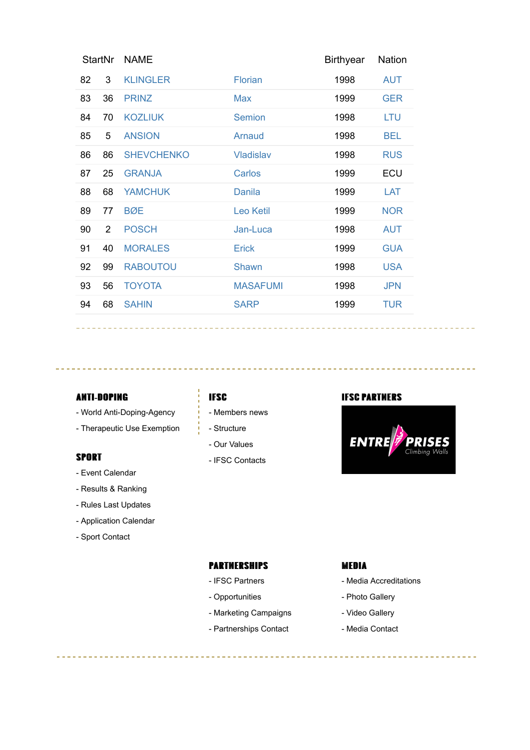| <b>StartNr</b> |                | <b>NAME</b>       |                  | <b>Birthyear</b> | <b>Nation</b> |
|----------------|----------------|-------------------|------------------|------------------|---------------|
| 82             | 3              | <b>KLINGLER</b>   | Florian          | 1998             | <b>AUT</b>    |
| 83             | 36             | <b>PRINZ</b>      | Max              | 1999             | <b>GER</b>    |
| 84             | 70             | <b>KOZLIUK</b>    | <b>Semion</b>    | 1998             | <b>LTU</b>    |
| 85             | 5              | <b>ANSION</b>     | Arnaud           | 1998             | <b>BEL</b>    |
| 86             | 86             | <b>SHEVCHENKO</b> | <b>Vladislav</b> | 1998             | <b>RUS</b>    |
| 87             | 25             | <b>GRANJA</b>     | Carlos           | 1999             | ECU           |
| 88             | 68             | <b>YAMCHUK</b>    | <b>Danila</b>    | 1999             | LAT           |
| 89             | 77             | <b>BØE</b>        | <b>Leo Ketil</b> | 1999             | <b>NOR</b>    |
| 90             | $\overline{2}$ | <b>POSCH</b>      | Jan-Luca         | 1998             | <b>AUT</b>    |
| 91             | 40             | <b>MORALES</b>    | Erick            | 1999             | <b>GUA</b>    |
| 92             | 99             | <b>RABOUTOU</b>   | Shawn            | 1998             | <b>USA</b>    |
| 93             | 56             | <b>TOYOTA</b>     | <b>MASAFUMI</b>  | 1998             | <b>JPN</b>    |
| 94             | 68             | <b>SAHIN</b>      | <b>SARP</b>      | 1999             | <b>TUR</b>    |
|                |                |                   |                  |                  |               |

#### **ANTI-DOPING**

- World Anti-Doping-Agency
- Therapeutic Use Exemption

#### **SPORT**

- Event Calendar
- Results & Ranking
- Rules Last Updates
- Application Calendar
- Sport Contact

- Members news
- Structure
- Our Values
- IFSC Contacts

#### **IFSC IFSC** PARTMERS



### PARTMERSHIPS

- IFSC Partners
- Opportunities
- Marketing Campaigns
- Partnerships Contact

#### MEDIA

- Media Accreditations
- Photo Gallery
- Video Gallery
- Media Contact